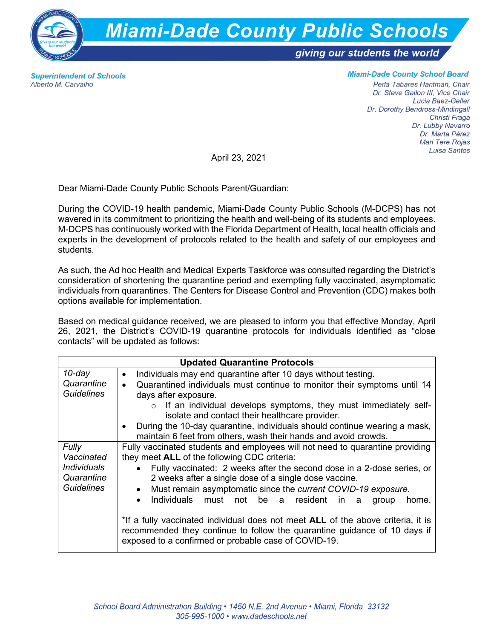

**Superintendent of Schools** Alberto M. Carvalho

## **Miami-Dade County School Board**

Perla Tabares Hantman, Chair Dr. Steve Gallon III, Vice Chair Lucia Baez-Geller Dr. Dorothy Bendross-Mindingall Christi Fraga Dr. Lubby Navarro Dr. Marta Pérez Mari Tere Rojas Luisa Santos

April 23, 2021

Dear Miami-Dade County Public Schools Parent/Guardian:

During the COVID-19 health pandemic, Miami-Dade County Public Schools (M-DCPS) has not wavered in its commitment to prioritizing the health and well-being of its students and employees. M-DCPS has continuously worked with the Florida Department of Health, local health officials and experts in the development of protocols related to the health and safety of our employees and students.

As such, the Ad hoc Health and Medical Experts Taskforce was consulted regarding the District's consideration of shortening the quarantine period and exempting fully vaccinated, asymptomatic individuals from quarantines. The Centers for Disease Control and Prevention (CDC) makes both options available for implementation.

Based on medical guidance received, we are pleased to inform you that effective Monday, April 26, 2021, the District's COVID-19 quarantine protocols for individuals identified as "close contacts" will be updated as follows:

| <b>Updated Quarantine Protocols</b> |                                                                                                                                                                                                                       |
|-------------------------------------|-----------------------------------------------------------------------------------------------------------------------------------------------------------------------------------------------------------------------|
| $10$ -day                           | Individuals may end quarantine after 10 days without testing.<br>$\bullet$                                                                                                                                            |
| Quarantine                          | Quarantined individuals must continue to monitor their symptoms until 14                                                                                                                                              |
| <b>Guidelines</b>                   | days after exposure.                                                                                                                                                                                                  |
|                                     | $\circ$ If an individual develops symptoms, they must immediately self-<br>isolate and contact their healthcare provider.                                                                                             |
|                                     | During the 10-day quarantine, individuals should continue wearing a mask,<br>maintain 6 feet from others, wash their hands and avoid crowds.                                                                          |
| Fully                               | Fully vaccinated students and employees will not need to quarantine providing                                                                                                                                         |
| Vaccinated                          | they meet ALL of the following CDC criteria:                                                                                                                                                                          |
| <i>Individuals</i>                  | Fully vaccinated: 2 weeks after the second dose in a 2-dose series, or                                                                                                                                                |
| Quarantine                          | 2 weeks after a single dose of a single dose vaccine.                                                                                                                                                                 |
| <b>Guidelines</b>                   | Must remain asymptomatic since the current COVID-19 exposure.<br>$\bullet$                                                                                                                                            |
|                                     | Individuals must not be a resident in<br>$\bullet$<br>home.<br>group<br>a                                                                                                                                             |
|                                     | *If a fully vaccinated individual does not meet ALL of the above criteria, it is<br>recommended they continue to follow the quarantine guidance of 10 days if<br>exposed to a confirmed or probable case of COVID-19. |